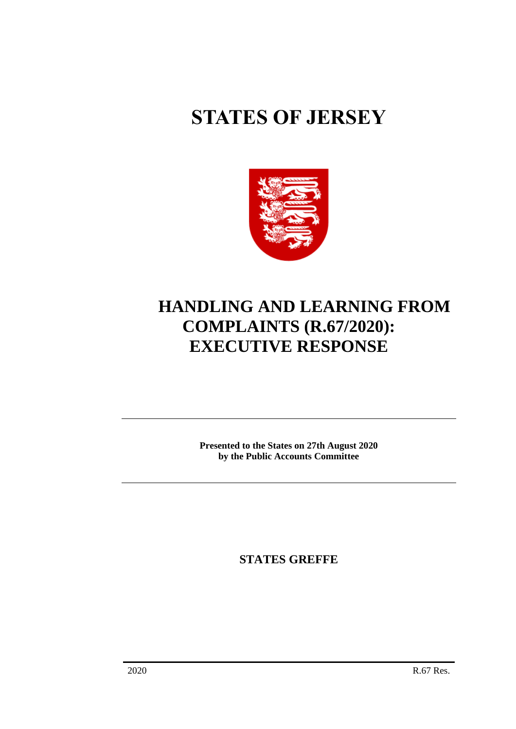# **STATES OF JERSEY**



## **HANDLING AND LEARNING FROM COMPLAINTS (R.67/2020): EXECUTIVE RESPONSE**

**Presented to the States on 27th August 2020 by the Public Accounts Committee**

**STATES GREFFE**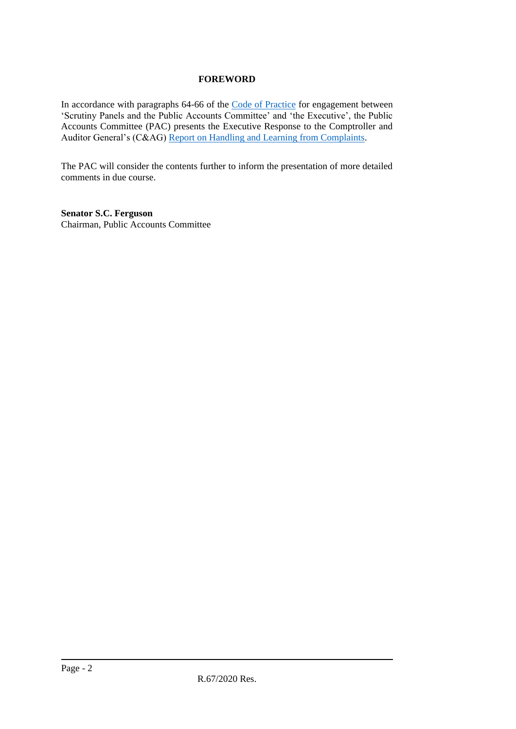### **FOREWORD**

In accordance with paragraphs 64-66 of the [Code of Practice](https://statesassembly.gov.je/sitecollectiondocuments/pacengagementcode.pdf) for engagement between 'Scrutiny Panels and the Public Accounts Committee' and 'the Executive', the Public Accounts Committee (PAC) presents the Executive Response to the Comptroller and Auditor General's (C&AG) [Report on Handling and Learning from Complaints.](https://www.jerseyauditoffice.je/wp-content/uploads/2020/07/CAG-Report-Handling-and-Learning-from-Complaints-08-July-2020.pdf)

The PAC will consider the contents further to inform the presentation of more detailed comments in due course.

**Senator S.C. Ferguson** Chairman, Public Accounts Committee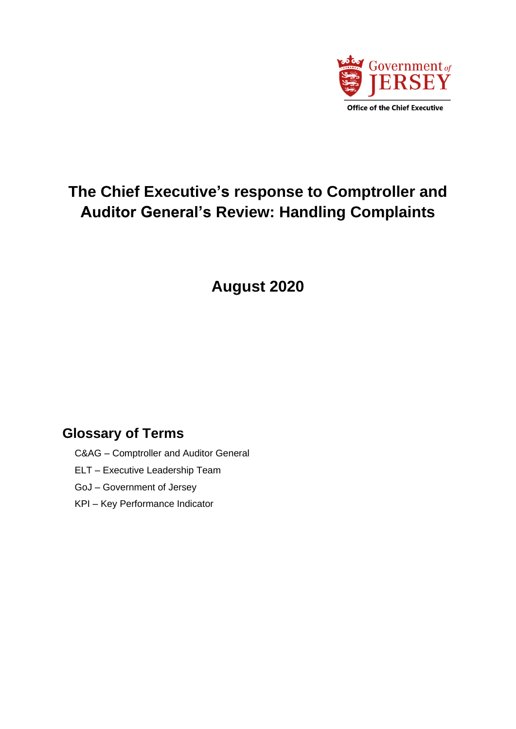

### **The Chief Executive's response to Comptroller and Auditor General's Review: Handling Complaints**

**August 2020**

### **Glossary of Terms**

- C&AG Comptroller and Auditor General
- ELT Executive Leadership Team
- GoJ Government of Jersey
- KPI Key Performance Indicator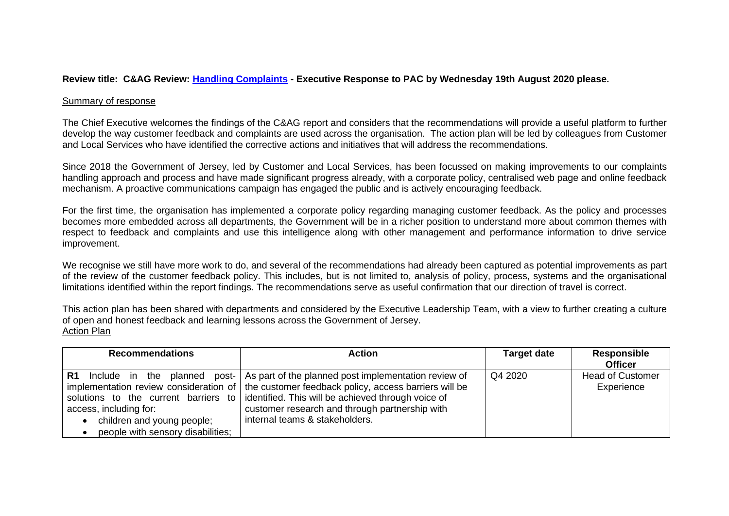### **Review title: C&AG Review: [Handling Complaints](https://www.jerseyauditoffice.je/wp-content/uploads/2020/07/CAG-Report-Handling-and-Learning-from-Complaints-08-July-2020.pdf) - Executive Response to PAC by Wednesday 19th August 2020 please.**

#### Summary of response

The Chief Executive welcomes the findings of the C&AG report and considers that the recommendations will provide a useful platform to further develop the way customer feedback and complaints are used across the organisation. The action plan will be led by colleagues from Customer and Local Services who have identified the corrective actions and initiatives that will address the recommendations.

Since 2018 the Government of Jersey, led by Customer and Local Services, has been focussed on making improvements to our complaints handling approach and process and have made significant progress already, with a corporate policy, centralised web page and online feedback mechanism. A proactive communications campaign has engaged the public and is actively encouraging feedback.

For the first time, the organisation has implemented a corporate policy regarding managing customer feedback. As the policy and processes becomes more embedded across all departments, the Government will be in a richer position to understand more about common themes with respect to feedback and complaints and use this intelligence along with other management and performance information to drive service improvement.

We recognise we still have more work to do, and several of the recommendations had already been captured as potential improvements as part of the review of the customer feedback policy. This includes, but is not limited to, analysis of policy, process, systems and the organisational limitations identified within the report findings. The recommendations serve as useful confirmation that our direction of travel is correct.

This action plan has been shared with departments and considered by the Executive Leadership Team, with a view to further creating a culture of open and honest feedback and learning lessons across the Government of Jersey. Action Plan

| <b>Recommendations</b>            | <b>Action</b>                                                                                  | <b>Target date</b> | <b>Responsible</b>      |
|-----------------------------------|------------------------------------------------------------------------------------------------|--------------------|-------------------------|
|                                   |                                                                                                |                    | <b>Officer</b>          |
|                                   | <b>R1</b> Include in the planned post- As part of the planned post implementation review of    | Q4 2020            | <b>Head of Customer</b> |
|                                   | implementation review consideration of   the customer feedback policy, access barriers will be |                    | Experience              |
|                                   | solutions to the current barriers to didentified. This will be achieved through voice of       |                    |                         |
| access, including for:            | customer research and through partnership with                                                 |                    |                         |
| children and young people;        | internal teams & stakeholders.                                                                 |                    |                         |
| people with sensory disabilities; |                                                                                                |                    |                         |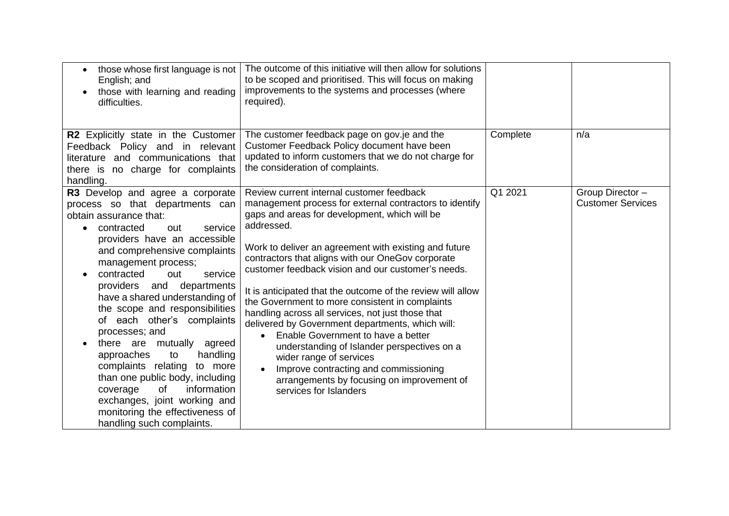| those whose first language is not<br>English; and<br>those with learning and reading<br>difficulties.                                                                                                                                                                                                                                                                                                                                                                                                                                                                                                                                                                       | The outcome of this initiative will then allow for solutions<br>to be scoped and prioritised. This will focus on making<br>improvements to the systems and processes (where<br>required).                                                                                                                                                                                                                                                                                                                                                                                                                                                                                                                                                                                                                                     |          |                                              |
|-----------------------------------------------------------------------------------------------------------------------------------------------------------------------------------------------------------------------------------------------------------------------------------------------------------------------------------------------------------------------------------------------------------------------------------------------------------------------------------------------------------------------------------------------------------------------------------------------------------------------------------------------------------------------------|-------------------------------------------------------------------------------------------------------------------------------------------------------------------------------------------------------------------------------------------------------------------------------------------------------------------------------------------------------------------------------------------------------------------------------------------------------------------------------------------------------------------------------------------------------------------------------------------------------------------------------------------------------------------------------------------------------------------------------------------------------------------------------------------------------------------------------|----------|----------------------------------------------|
| R2 Explicitly state in the Customer<br>Feedback Policy and in relevant<br>literature and communications that<br>there is no charge for complaints<br>handling.                                                                                                                                                                                                                                                                                                                                                                                                                                                                                                              | The customer feedback page on gov.je and the<br>Customer Feedback Policy document have been<br>updated to inform customers that we do not charge for<br>the consideration of complaints.                                                                                                                                                                                                                                                                                                                                                                                                                                                                                                                                                                                                                                      | Complete | n/a                                          |
| R3 Develop and agree a corporate<br>process so that departments can<br>obtain assurance that:<br>contracted<br>service<br>out<br>providers have an accessible<br>and comprehensive complaints<br>management process;<br>contracted<br>service<br>out<br>providers and<br>departments<br>have a shared understanding of<br>the scope and responsibilities<br>of each other's complaints<br>processes; and<br>there are mutually agreed<br>approaches<br>handling<br>to<br>complaints relating<br>to more<br>than one public body, including<br>information<br>of<br>coverage<br>exchanges, joint working and<br>monitoring the effectiveness of<br>handling such complaints. | Review current internal customer feedback<br>management process for external contractors to identify<br>gaps and areas for development, which will be<br>addressed.<br>Work to deliver an agreement with existing and future<br>contractors that aligns with our OneGov corporate<br>customer feedback vision and our customer's needs.<br>It is anticipated that the outcome of the review will allow<br>the Government to more consistent in complaints<br>handling across all services, not just those that<br>delivered by Government departments, which will:<br>Enable Government to have a better<br>$\bullet$<br>understanding of Islander perspectives on a<br>wider range of services<br>Improve contracting and commissioning<br>$\bullet$<br>arrangements by focusing on improvement of<br>services for Islanders | Q1 2021  | Group Director -<br><b>Customer Services</b> |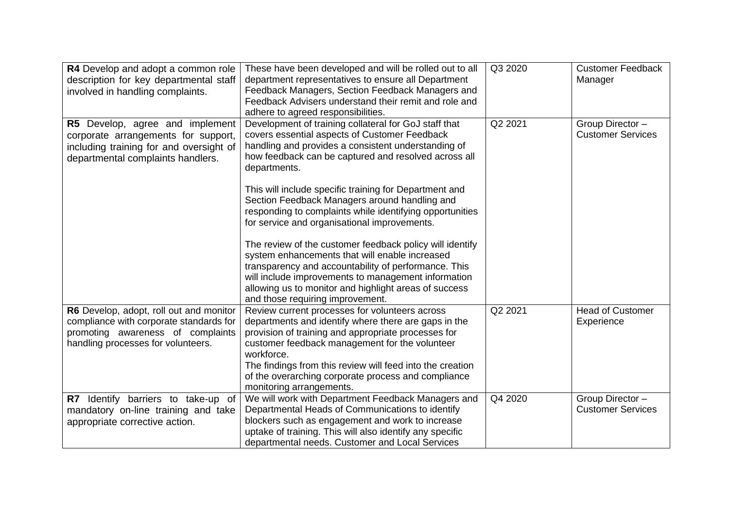| R4 Develop and adopt a common role<br>description for key departmental staff<br>involved in handling complaints.                                              | These have been developed and will be rolled out to all<br>department representatives to ensure all Department<br>Feedback Managers, Section Feedback Managers and<br>Feedback Advisers understand their remit and role and<br>adhere to agreed responsibilities.                                                                                                                                                                                                                                                                                                                                                                                                                                                                                                                      | Q3 2020 | <b>Customer Feedback</b><br>Manager          |
|---------------------------------------------------------------------------------------------------------------------------------------------------------------|----------------------------------------------------------------------------------------------------------------------------------------------------------------------------------------------------------------------------------------------------------------------------------------------------------------------------------------------------------------------------------------------------------------------------------------------------------------------------------------------------------------------------------------------------------------------------------------------------------------------------------------------------------------------------------------------------------------------------------------------------------------------------------------|---------|----------------------------------------------|
| R5 Develop, agree and implement<br>corporate arrangements for support,<br>including training for and oversight of<br>departmental complaints handlers.        | Development of training collateral for GoJ staff that<br>covers essential aspects of Customer Feedback<br>handling and provides a consistent understanding of<br>how feedback can be captured and resolved across all<br>departments.<br>This will include specific training for Department and<br>Section Feedback Managers around handling and<br>responding to complaints while identifying opportunities<br>for service and organisational improvements.<br>The review of the customer feedback policy will identify<br>system enhancements that will enable increased<br>transparency and accountability of performance. This<br>will include improvements to management information<br>allowing us to monitor and highlight areas of success<br>and those requiring improvement. | Q2 2021 | Group Director -<br><b>Customer Services</b> |
| R6 Develop, adopt, roll out and monitor<br>compliance with corporate standards for<br>promoting awareness of complaints<br>handling processes for volunteers. | Review current processes for volunteers across<br>departments and identify where there are gaps in the<br>provision of training and appropriate processes for<br>customer feedback management for the volunteer<br>workforce.<br>The findings from this review will feed into the creation<br>of the overarching corporate process and compliance<br>monitoring arrangements.                                                                                                                                                                                                                                                                                                                                                                                                          | Q2 2021 | <b>Head of Customer</b><br>Experience        |
| R7 Identify barriers to take-up of<br>mandatory on-line training and take<br>appropriate corrective action.                                                   | We will work with Department Feedback Managers and<br>Departmental Heads of Communications to identify<br>blockers such as engagement and work to increase<br>uptake of training. This will also identify any specific<br>departmental needs. Customer and Local Services                                                                                                                                                                                                                                                                                                                                                                                                                                                                                                              | Q4 2020 | Group Director -<br><b>Customer Services</b> |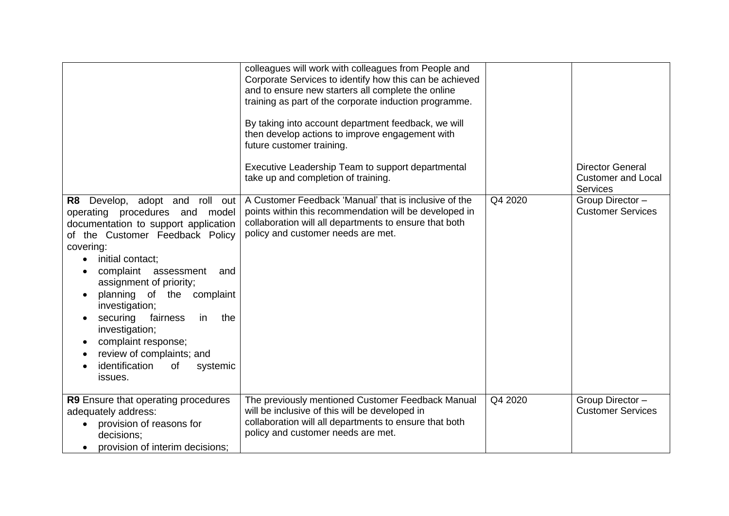| Develop, adopt and roll out<br>R <sub>8</sub><br>operating procedures and model<br>documentation to support application<br>of the Customer Feedback Policy<br>covering:<br>initial contact;<br>$\bullet$<br>complaint assessment<br>and<br>assignment of priority;<br>planning of the complaint<br>investigation;<br>fairness<br>in<br>the<br>securing<br>investigation;<br>complaint response;<br>review of complaints; and<br>identification<br>of<br>systemic<br>issues. | colleagues will work with colleagues from People and<br>Corporate Services to identify how this can be achieved<br>and to ensure new starters all complete the online<br>training as part of the corporate induction programme.<br>By taking into account department feedback, we will<br>then develop actions to improve engagement with<br>future customer training.<br>Executive Leadership Team to support departmental<br>take up and completion of training.<br>A Customer Feedback 'Manual' that is inclusive of the<br>points within this recommendation will be developed in<br>collaboration will all departments to ensure that both<br>policy and customer needs are met. | Q4 2020 | <b>Director General</b><br><b>Customer and Local</b><br><b>Services</b><br>Group Director -<br><b>Customer Services</b> |
|-----------------------------------------------------------------------------------------------------------------------------------------------------------------------------------------------------------------------------------------------------------------------------------------------------------------------------------------------------------------------------------------------------------------------------------------------------------------------------|---------------------------------------------------------------------------------------------------------------------------------------------------------------------------------------------------------------------------------------------------------------------------------------------------------------------------------------------------------------------------------------------------------------------------------------------------------------------------------------------------------------------------------------------------------------------------------------------------------------------------------------------------------------------------------------|---------|-------------------------------------------------------------------------------------------------------------------------|
| R9 Ensure that operating procedures<br>adequately address:<br>provision of reasons for<br>decisions;<br>provision of interim decisions:                                                                                                                                                                                                                                                                                                                                     | The previously mentioned Customer Feedback Manual<br>will be inclusive of this will be developed in<br>collaboration will all departments to ensure that both<br>policy and customer needs are met.                                                                                                                                                                                                                                                                                                                                                                                                                                                                                   | Q4 2020 | Group Director -<br><b>Customer Services</b>                                                                            |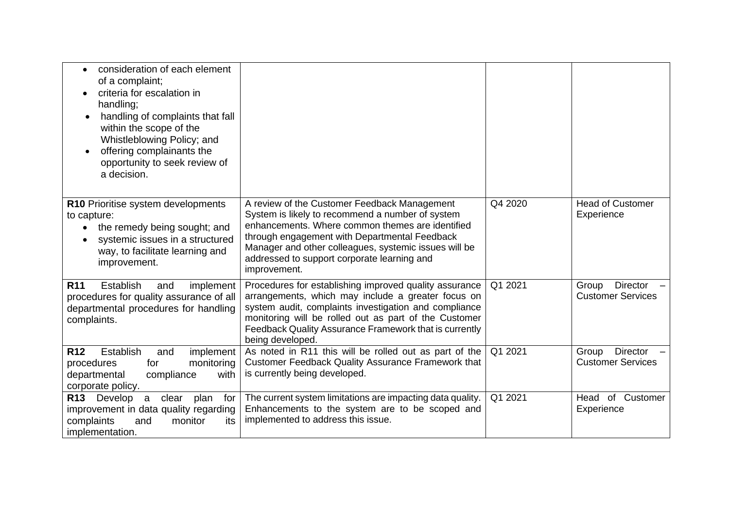| consideration of each element<br>$\bullet$<br>of a complaint;<br>criteria for escalation in<br>handling;<br>handling of complaints that fall<br>within the scope of the<br>Whistleblowing Policy; and<br>offering complainants the<br>opportunity to seek review of<br>a decision. |                                                                                                                                                                                                                                                                                                                               |         |                                                      |
|------------------------------------------------------------------------------------------------------------------------------------------------------------------------------------------------------------------------------------------------------------------------------------|-------------------------------------------------------------------------------------------------------------------------------------------------------------------------------------------------------------------------------------------------------------------------------------------------------------------------------|---------|------------------------------------------------------|
| R10 Prioritise system developments<br>to capture:<br>the remedy being sought; and<br>systemic issues in a structured<br>way, to facilitate learning and<br>improvement.                                                                                                            | A review of the Customer Feedback Management<br>System is likely to recommend a number of system<br>enhancements. Where common themes are identified<br>through engagement with Departmental Feedback<br>Manager and other colleagues, systemic issues will be<br>addressed to support corporate learning and<br>improvement. | Q4 2020 | <b>Head of Customer</b><br>Experience                |
| <b>Establish</b><br><b>R11</b><br>implement<br>and<br>procedures for quality assurance of all<br>departmental procedures for handling<br>complaints.                                                                                                                               | Procedures for establishing improved quality assurance<br>arrangements, which may include a greater focus on<br>system audit, complaints investigation and compliance<br>monitoring will be rolled out as part of the Customer<br>Feedback Quality Assurance Framework that is currently<br>being developed.                  | Q1 2021 | <b>Director</b><br>Group<br><b>Customer Services</b> |
| <b>R12</b><br>Establish<br>implement<br>and<br>monitoring<br>procedures<br>for<br>departmental<br>compliance<br>with<br>corporate policy.                                                                                                                                          | As noted in R11 this will be rolled out as part of the<br><b>Customer Feedback Quality Assurance Framework that</b><br>is currently being developed.                                                                                                                                                                          | Q1 2021 | <b>Director</b><br>Group<br><b>Customer Services</b> |
| R13 Develop<br>a clear<br>plan<br>for<br>improvement in data quality regarding<br>complaints<br>monitor<br>and<br>its<br>implementation.                                                                                                                                           | The current system limitations are impacting data quality.<br>Enhancements to the system are to be scoped and<br>implemented to address this issue.                                                                                                                                                                           | Q1 2021 | Head of Customer<br>Experience                       |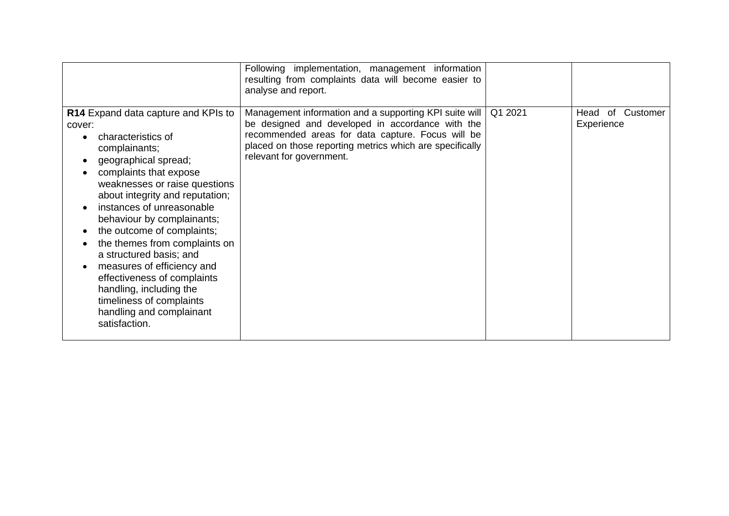|                                                                                                                                                                                                                                                                                                                                                                                                                                                                                                                                                            | Following implementation, management information<br>resulting from complaints data will become easier to<br>analyse and report.                                                                                                                           |         |                                      |
|------------------------------------------------------------------------------------------------------------------------------------------------------------------------------------------------------------------------------------------------------------------------------------------------------------------------------------------------------------------------------------------------------------------------------------------------------------------------------------------------------------------------------------------------------------|-----------------------------------------------------------------------------------------------------------------------------------------------------------------------------------------------------------------------------------------------------------|---------|--------------------------------------|
| R14 Expand data capture and KPIs to<br>cover:<br>characteristics of<br>$\bullet$<br>complainants;<br>geographical spread;<br>$\bullet$<br>complaints that expose<br>weaknesses or raise questions<br>about integrity and reputation;<br>instances of unreasonable<br>behaviour by complainants;<br>the outcome of complaints;<br>the themes from complaints on<br>a structured basis; and<br>measures of efficiency and<br>effectiveness of complaints<br>handling, including the<br>timeliness of complaints<br>handling and complainant<br>satisfaction. | Management information and a supporting KPI suite will  <br>be designed and developed in accordance with the<br>recommended areas for data capture. Focus will be<br>placed on those reporting metrics which are specifically<br>relevant for government. | Q1 2021 | of<br>Customer<br>Head<br>Experience |